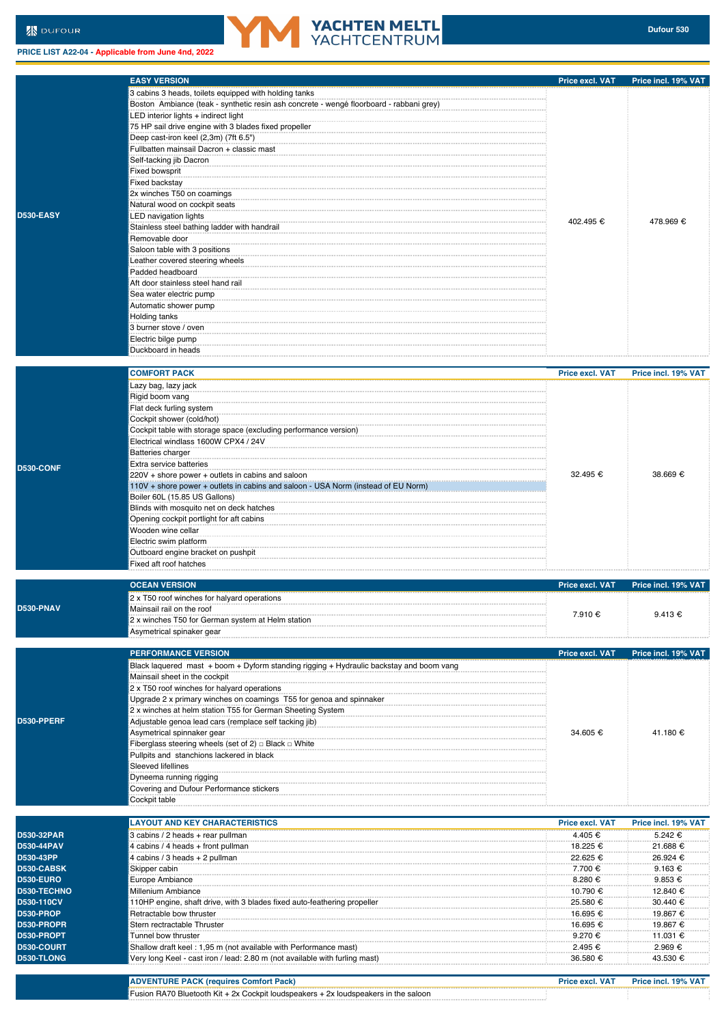**PRICE LIST A22-04 - Applicable from June 4nd, 2022**



|                  | <b>EASY VERSION</b>                                                                     | Price excl. VAT        | Price incl. 19% VAT |
|------------------|-----------------------------------------------------------------------------------------|------------------------|---------------------|
|                  | 3 cabins 3 heads, toilets equipped with holding tanks                                   |                        |                     |
|                  | Boston Ambiance (teak - synthetic resin ash concrete - wengé floorboard - rabbani grey) |                        |                     |
|                  | LED interior lights + indirect light                                                    |                        |                     |
|                  | 75 HP sail drive engine with 3 blades fixed propeller                                   |                        |                     |
|                  | Deep cast-iron keel (2,3m) (7ft 6.5")                                                   |                        |                     |
|                  | Fullbatten mainsail Dacron + classic mast                                               |                        |                     |
|                  | Self-tacking jib Dacron                                                                 |                        |                     |
|                  | Fixed bowsprit                                                                          |                        |                     |
|                  | Fixed backstay                                                                          |                        |                     |
|                  | 2x winches T50 on coamings                                                              |                        |                     |
|                  | Natural wood on cockpit seats                                                           |                        |                     |
| <b>D530-EASY</b> | LED navigation lights                                                                   | 402.495 €              | 478.969 €           |
|                  | Stainless steel bathing ladder with handrail                                            |                        |                     |
|                  | Removable door                                                                          |                        |                     |
|                  | Saloon table with 3 positions                                                           |                        |                     |
|                  | Leather covered steering wheels                                                         |                        |                     |
|                  | Padded headboard                                                                        |                        |                     |
|                  | Aft door stainless steel hand rail                                                      |                        |                     |
|                  | Sea water electric pump                                                                 |                        |                     |
|                  | Automatic shower pump                                                                   |                        |                     |
|                  | Holding tanks                                                                           |                        |                     |
|                  | 3 burner stove / oven                                                                   |                        |                     |
|                  | Electric bilge pump<br>Duckboard in heads                                               |                        |                     |
|                  |                                                                                         |                        |                     |
|                  | <b>COMFORT PACK</b>                                                                     | Price excl. VAT        | Price incl. 19% VAT |
|                  |                                                                                         |                        |                     |
|                  | Lazy bag, lazy jack                                                                     |                        |                     |
|                  | Rigid boom vang<br>Flat deck furling system                                             |                        | 38.669 €            |
|                  | Cockpit shower (cold/hot)                                                               |                        |                     |
|                  | Cockpit table with storage space (excluding performance version)                        |                        |                     |
|                  | Electrical windlass 1600W CPX4 / 24V                                                    |                        |                     |
|                  | <b>Batteries charger</b>                                                                |                        |                     |
|                  | Extra service batteries                                                                 | 32.495 €               |                     |
| D530-CONF        | 220V + shore power + outlets in cabins and saloon                                       |                        |                     |
|                  | 110V + shore power + outlets in cabins and saloon - USA Norm (instead of EU Norm)       |                        |                     |
|                  | Boiler 60L (15.85 US Gallons)                                                           |                        |                     |
|                  | Blinds with mosquito net on deck hatches                                                |                        |                     |
|                  | Opening cockpit portlight for aft cabins                                                |                        |                     |
|                  | Wooden wine cellar                                                                      |                        |                     |
|                  | Electric swim platform                                                                  |                        |                     |
|                  | Outboard engine bracket on pushpit                                                      |                        |                     |
|                  | Fixed aft roof hatches                                                                  |                        |                     |
|                  |                                                                                         |                        |                     |
|                  | <b>OCEAN VERSION</b>                                                                    | Price excl. VAT        | Price incl. 19% VAT |
|                  | 2 x T50 roof winches for halyard operations                                             |                        |                     |
| <b>D530-PNAV</b> | Mainsail rail on the roof                                                               | 7.910 €                | 9.413€              |
|                  | 2 x winches T50 for German system at Helm station                                       |                        |                     |
|                  | Asymetrical spinaker gear                                                               |                        |                     |
|                  |                                                                                         |                        |                     |
|                  | <b>PERFORMANCE VERSION</b>                                                              | <b>Price excl. VAT</b> | Price incl. 19% VAT |
|                  | Black laquered mast + boom + Dyform standing rigging + Hydraulic backstay and boom vang |                        |                     |
|                  | Mainsail sheet in the cockpit                                                           |                        |                     |
|                  | 2 x T50 roof winches for halyard operations                                             |                        |                     |
|                  | Upgrade 2 x primary winches on coamings T55 for genoa and spinnaker                     |                        |                     |
| D530-PPERF       | 2 x winches at helm station T55 for German Sheeting System                              |                        |                     |
|                  | Adjustable genoa lead cars (remplace self tacking jib)                                  |                        |                     |
|                  | Asymetrical spinnaker gear                                                              | 34.605 €               | 41.180 €            |
|                  | Fiberglass steering wheels (set of 2) $\Box$ Black $\Box$ White                         |                        |                     |
|                  | Pullpits and stanchions lackered in black<br>Sleeved lifellines                         |                        |                     |
|                  | Dyneema running rigging                                                                 |                        |                     |
|                  | Covering and Dufour Performance stickers                                                |                        |                     |
|                  | Cockpit table                                                                           |                        |                     |
|                  |                                                                                         |                        |                     |
|                  | <b>LAYOUT AND KEY CHARACTERISTICS</b>                                                   | <b>Price excl. VAT</b> | Price incl. 19% VAT |
| D530-32PAR       | 3 cabins / 2 heads + rear pullman                                                       | 4.405 €                | 5.242 €             |
| D530-44PAV       | 4 cabins / 4 heads + front pullman                                                      | 18.225 €               | 21.688 €            |
| D530-43PP        | 4 cabins / 3 heads + 2 pullman                                                          | 22.625 €               | 26.924 €            |
| D530-CABSK       | Skipper cabin                                                                           | 7.700 €                | $9.163 \in$         |
| D530-EURO        | Europe Ambiance                                                                         | 8.280 €                | $9.853 \epsilon$    |
| D530-TECHNO      | Millenium Ambiance                                                                      | 10.790 €               | 12.840 €            |
| D530-110CV       | 110HP engine, shaft drive, with 3 blades fixed auto-feathering propeller                | 25.580 €               | 30.440 €            |
| D530-PROP        | Retractable bow thruster                                                                | 16.695 €               | 19.867 €            |
| D530-PROPR       | Stern rectractable Thruster                                                             | 16.695 €               | 19.867 €            |
| D530-PROPT       | Tunnel bow thruster                                                                     | 9.270 €                | 11.031 €            |
| D530-COURT       | Shallow draft keel: 1,95 m (not available with Performance mast)                        | 2.495 €                | 2.969 €             |
| D530-TLONG       | Very long Keel - cast iron / lead: 2.80 m (not available with furling mast)             | 36.580 €               | 43.530 €            |

| - פח<br>- Inc | <b>ALCO</b> | <b>Pack</b><br>ייי<br>mniro<br>Comtor                                                                |  |
|---------------|-------------|------------------------------------------------------------------------------------------------------|--|
|               |             | ⋅ RA70 Bluetooth Kit + 2x Cockpit loudspeakers +<br>- 2x loudspeakers<br>the saloon<br><b>Fusion</b> |  |
|               |             |                                                                                                      |  |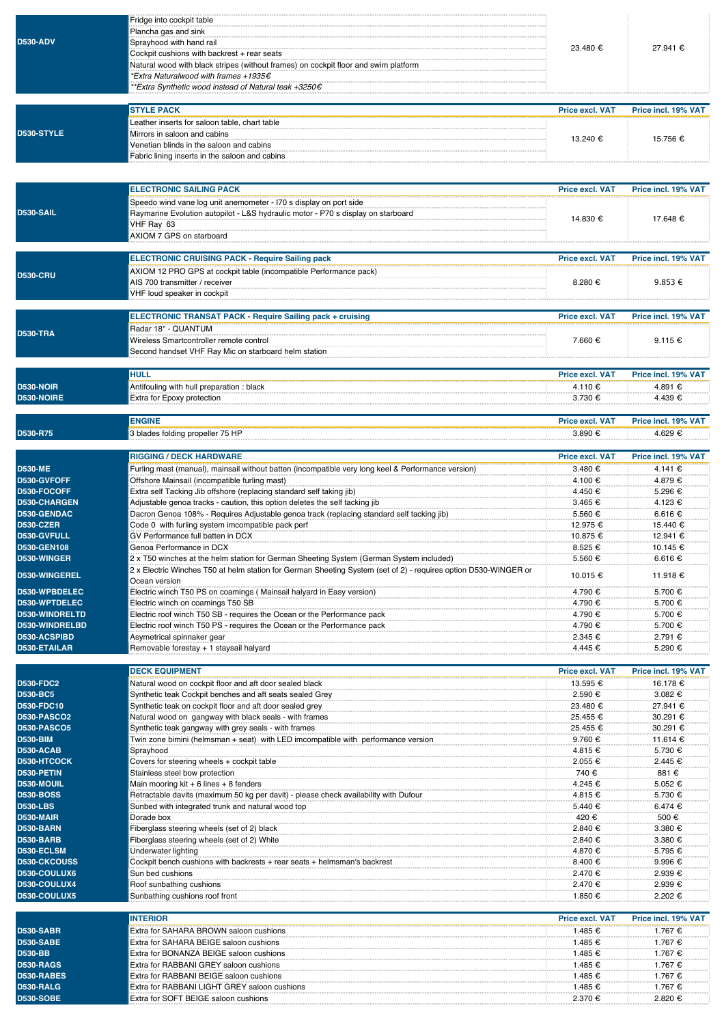| <b>D530-ADV</b>                    | Fridge into cockpit table<br>Plancha gas and sink<br>Sprayhood with hand rail<br>Cockpit cushions with backrest + rear seats<br>Natural wood with black stripes (without frames) on cockpit floor and swim platform<br>*Extra Naturalwood with frames +1935€<br>**Extra Synthetic wood instead of Natural teak +3250€ | 23.480 €                           | 27.941 €                        |
|------------------------------------|-----------------------------------------------------------------------------------------------------------------------------------------------------------------------------------------------------------------------------------------------------------------------------------------------------------------------|------------------------------------|---------------------------------|
|                                    | <b>STYLE PACK</b>                                                                                                                                                                                                                                                                                                     | <b>Price excl. VAT</b>             | Price incl. 19% VAT             |
| D530-STYLE                         | Leather inserts for saloon table, chart table<br>Mirrors in saloon and cabins<br>Venetian blinds in the saloon and cabins<br>Fabric lining inserts in the saloon and cabins                                                                                                                                           | 13.240 €                           | 15.756 €                        |
|                                    | <b>ELECTRONIC SAILING PACK</b>                                                                                                                                                                                                                                                                                        |                                    |                                 |
| <b>D530-SAIL</b>                   | Speedo wind vane log unit anemometer - I70 s display on port side<br>Raymarine Evolution autopilot - L&S hydraulic motor - P70 s display on starboard<br>VHF Ray 63<br>AXIOM 7 GPS on starboard                                                                                                                       | <b>Price excl. VAT</b><br>14.830 € | Price incl. 19% VAT<br>17.648 € |
|                                    | <b>ELECTRONIC CRUISING PACK - Require Sailing pack</b>                                                                                                                                                                                                                                                                | <b>Price excl. VAT</b>             | Price incl. 19% VAT             |
| <b>D530-CRU</b>                    | AXIOM 12 PRO GPS at cockpit table (incompatible Performance pack)<br>AIS 700 transmitter / receiver<br>VHF loud speaker in cockpit                                                                                                                                                                                    | 8.280 €                            | $9.853 \in$                     |
|                                    | <b>ELECTRONIC TRANSAT PACK - Require Sailing pack + cruising</b>                                                                                                                                                                                                                                                      | <b>Price excl. VAT</b>             | Price incl. 19% VAT             |
| <b>D530-TRA</b>                    | Radar 18" - QUANTUM<br>Wireless Smartcontroller remote control<br>Second handset VHF Ray Mic on starboard helm station                                                                                                                                                                                                | 7.660 €                            | 9.115 €                         |
|                                    | <b>HULL</b>                                                                                                                                                                                                                                                                                                           | <b>Price excl. VAT</b>             | Price incl. 19% VAT             |
| <b>D530-NOIR</b>                   | Antifouling with hull preparation: black                                                                                                                                                                                                                                                                              | 4.110 €                            | 4.891 €                         |
| D530-NOIRE                         | Extra for Epoxy protection                                                                                                                                                                                                                                                                                            | 3.730 €                            | 4.439 €                         |
|                                    | <b>ENGINE</b>                                                                                                                                                                                                                                                                                                         | <b>Price excl. VAT</b>             | Price incl. 19% VAT             |
| D530-R75                           | 3 blades folding propeller 75 HP                                                                                                                                                                                                                                                                                      | 3.890 €                            | 4.629 €                         |
|                                    | <b>RIGGING / DECK HARDWARE</b>                                                                                                                                                                                                                                                                                        | <b>Price excl. VAT</b>             | Price incl. 19% VAT             |
| <b>D530-ME</b>                     | Furling mast (manual), mainsail without batten (incompatible very long keel & Performance version)                                                                                                                                                                                                                    | 3.480 €                            | 4.141 €                         |
| D530-GVFOFF                        | Offshore Mainsail (incompatible furling mast)                                                                                                                                                                                                                                                                         | 4.100 €                            | 4.879 €                         |
| D530-FOCOFF<br>D530-CHARGEN        | Extra self Tacking Jib offshore (replacing standard self taking jib)<br>Adjustable genoa tracks - caution, this option deletes the self tacking jib                                                                                                                                                                   | 4.450 €<br>3.465 €                 | 5.296 €<br>4.123 €              |
| D530-GENDAC                        | Dacron Genoa 108% - Requires Adjustable genoa track (replacing standard self tacking jib)                                                                                                                                                                                                                             | 5.560 €                            | 6.616 €                         |
| <b>D530-CZER</b>                   | Code 0 with furling system imcompatible pack perf                                                                                                                                                                                                                                                                     | 12.975 €                           | 15.440 €                        |
| D530-GVFULL                        | GV Performance full batten in DCX                                                                                                                                                                                                                                                                                     | 10.875 €                           | 12.941 €                        |
| D530-GEN108<br>D530-WINGER         | Genoa Performance in DCX<br>2 x T50 winches at the helm station for German Sheeting System (German System included)                                                                                                                                                                                                   | 8.525 €<br>5.560 €                 | 10.145 €<br>6.616 €             |
| D530-WINGEREL                      | 2 x Electric Winches T50 at helm station for German Sheeting System (set of 2) - requires option D530-WINGER or                                                                                                                                                                                                       | 10.015 €                           | 11.918€                         |
| D530-WPBDELEC                      | Ocean version                                                                                                                                                                                                                                                                                                         | 4.790 €                            | 5.700 €                         |
| D530-WPTDELEC                      | Electric winch on coamings T50 SB                                                                                                                                                                                                                                                                                     | 4.790 €                            | 5.700 €                         |
| D530-WINDRELTD                     | Electric roof winch T50 SB - requires the Ocean or the Performance pack                                                                                                                                                                                                                                               | 4.790 €                            | 5.700 €                         |
| D530-WINDRELBD                     | Electric roof winch T50 PS - requires the Ocean or the Performance pack                                                                                                                                                                                                                                               | 4.790 €                            | 5.700 €                         |
| D530-ACSPIBD<br>D530-ETAILAR       | Asymetrical spinnaker gear<br>Removable forestay + 1 staysail halyard                                                                                                                                                                                                                                                 | 2.345 €<br>4.445 €                 | 2.791 €<br>5.290 €              |
|                                    |                                                                                                                                                                                                                                                                                                                       |                                    |                                 |
|                                    | <b>DECK EQUIPMENT</b>                                                                                                                                                                                                                                                                                                 | <b>Price excl. VAT</b>             | Price incl. 19% VAT             |
| <b>D530-FDC2</b>                   | Natural wood on cockpit floor and aft door sealed black                                                                                                                                                                                                                                                               | 13.595 €                           | 16.178 €                        |
| D530-BC5<br>D530-FDC10             | Synthetic teak Cockpit benches and aft seats sealed Grey<br>Synthetic teak on cockpit floor and aft door sealed grey                                                                                                                                                                                                  | 2.590 €<br>23.480 €                | 3.082 €<br>27.941 €             |
| <b>D530-PASCO2</b>                 | Natural wood on gangway with black seals - with frames                                                                                                                                                                                                                                                                | 25.455 €                           | 30.291 €                        |
| <b>D530-PASCO5</b>                 | Synthetic teak gangway with grey seals - with frames                                                                                                                                                                                                                                                                  | 25.455 €                           | 30.291 €                        |
| <b>D530-BIM</b><br>D530-ACAB       | Twin zone bimini (helmsman + seat) with LED imcompatible with performance version<br>Sprayhood                                                                                                                                                                                                                        | 9.760 €<br>4.815 €                 | 11.614 €<br>5.730 €             |
| D530-HTCOCK                        | Covers for steering wheels + cockpit table                                                                                                                                                                                                                                                                            | 2.055 €                            | 2.445 €                         |
| D530-PETIN                         | Stainless steel bow protection                                                                                                                                                                                                                                                                                        | 740€                               | 881 €                           |
| D530-MOUIL<br><b>D530-BOSS</b>     | Main mooring $kit + 6$ lines $+ 8$ fenders                                                                                                                                                                                                                                                                            | 4.245 €<br>4.815 €                 | 5.052 €                         |
| <b>D530-LBS</b>                    | Retractable davits (maximum 50 kg per davit) - please check availability with Dufour<br>Sunbed with integrated trunk and natural wood top                                                                                                                                                                             | 5.440 €                            | 5.730 €<br>6.474 €              |
| D530-MAIR                          | Dorade box                                                                                                                                                                                                                                                                                                            | 420€                               | 500 €                           |
| D530-BARN                          | Fiberglass steering wheels (set of 2) black                                                                                                                                                                                                                                                                           | 2.840 €                            | 3.380 €                         |
| <b>D530-BARB</b><br>D530-ECLSM     | Fiberglass steering wheels (set of 2) White<br>Underwater lighting                                                                                                                                                                                                                                                    | 2.840 €<br>4.870 €                 | 3.380 €<br>5.795 €              |
| <b>D530-CKCOUSS</b>                | Cockpit bench cushions with backrests + rear seats + helmsman's backrest                                                                                                                                                                                                                                              | 8.400 €                            | 9.996 €                         |
| D530-COULUX6                       | Sun bed cushions                                                                                                                                                                                                                                                                                                      | 2.470 €                            | 2.939 €                         |
| D530-COULUX4<br>D530-COULUX5       | Roof sunbathing cushions<br>Sunbathing cushions roof front                                                                                                                                                                                                                                                            | 2.470 €<br>1.850 €                 | 2.939 €<br>2.202 €              |
|                                    |                                                                                                                                                                                                                                                                                                                       |                                    |                                 |
|                                    | <b>INTERIOR</b>                                                                                                                                                                                                                                                                                                       | <b>Price excl. VAT</b>             | Price incl. 19% VAT             |
| <b>D530-SABR</b>                   | Extra for SAHARA BROWN saloon cushions                                                                                                                                                                                                                                                                                | 1.485 €                            | 1.767 €                         |
| <b>D530-SABE</b><br><b>D530-BB</b> | Extra for SAHARA BEIGE saloon cushions<br>Extra for BONANZA BEIGE saloon cushions                                                                                                                                                                                                                                     | 1.485 €<br>1.485 €                 | 1.767 €<br>1.767 €              |
| <b>D530-RAGS</b>                   | Extra for RABBANI GREY saloon cushions                                                                                                                                                                                                                                                                                | 1.485 €                            | 1.767 €                         |
| D530-RABES                         | Extra for RABBANI BEIGE saloon cushions                                                                                                                                                                                                                                                                               | 1.485 €                            | 1.767 €                         |
| D530-RALG                          | Extra for RABBANI LIGHT GREY saloon cushions                                                                                                                                                                                                                                                                          | 1.485 €                            | 1.767 €                         |
| <b>D530-SOBE</b>                   | Extra for SOFT BEIGE saloon cushions                                                                                                                                                                                                                                                                                  | 2.370 €                            | 2.820 €                         |